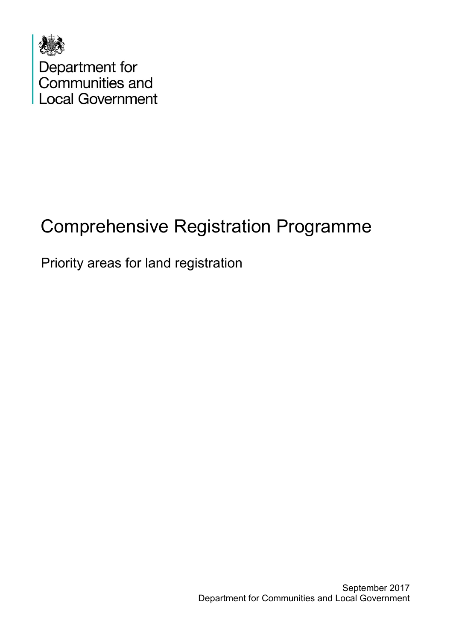

# Comprehensive Registration Programme

### Priority areas for land registration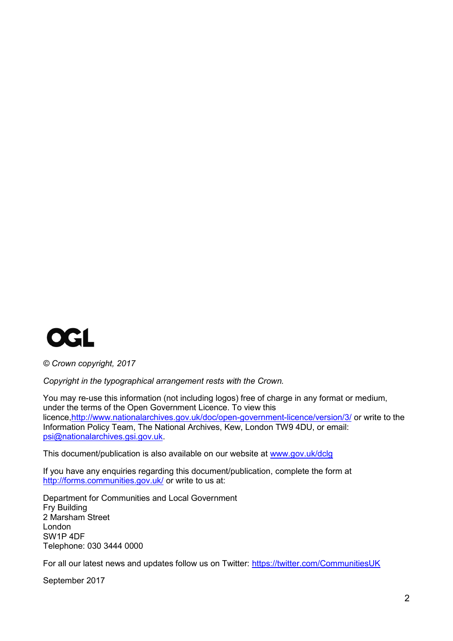

*© Crown copyright, 2017*

*Copyright in the typographical arrangement rests with the Crown.*

You may re-use this information (not including logos) free of charge in any format or medium, under the terms of the Open Government Licence. To view this licence[,http://www.nationalarchives.gov.uk/doc/open-government-licence/version/3/](http://www.nationalarchives.gov.uk/doc/open-government-licence/version/3/) or write to the Information Policy Team, The National Archives, Kew, London TW9 4DU, or email: [psi@nationalarchives.gsi.gov.uk.](mailto:psi@nationalarchives.gsi.gov.uk)

This document/publication is also available on our website at [www.gov.uk/dclg](http://www.gov.uk/dclg)

If you have any enquiries regarding this document/publication, complete the form at <http://forms.communities.gov.uk/> or write to us at:

Department for Communities and Local Government Fry Building 2 Marsham Street London SW1P 4DF Telephone: 030 3444 0000

For all our latest news and updates follow us on Twitter:<https://twitter.com/CommunitiesUK>

September 2017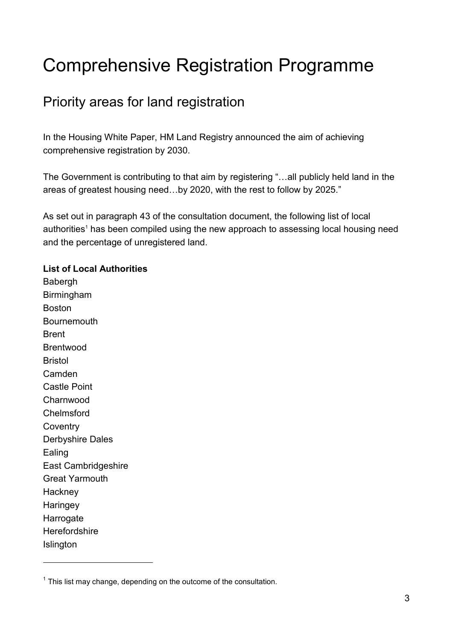## Comprehensive Registration Programme

#### Priority areas for land registration

In the Housing White Paper, HM Land Registry announced the aim of achieving comprehensive registration by 2030.

The Government is contributing to that aim by registering "…all publicly held land in the areas of greatest housing need…by 2020, with the rest to follow by 2025."

As set out in paragraph 43 of the consultation document, the following list of local authorities<sup>1</sup> has been compiled using the new approach to assessing local housing need and the percentage of unregistered land.

#### **List of Local Authorities**

**Babergh** Birmingham Boston Bournemouth Brent Brentwood Bristol Camden Castle Point **Charnwood Chelmsford Coventry** Derbyshire Dales Ealing East Cambridgeshire Great Yarmouth **Hackney Haringey Harrogate Herefordshire** Islington

1

 $1$  This list may change, depending on the outcome of the consultation.